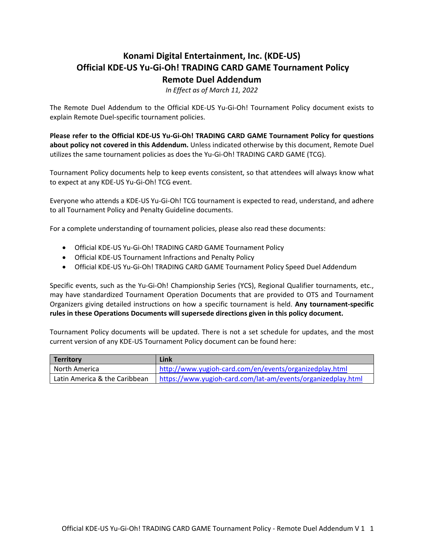# **Konami Digital Entertainment, Inc. (KDE-US) Official KDE-US Yu-Gi-Oh! TRADING CARD GAME Tournament Policy Remote Duel Addendum**

*In Effect as of March 11, 2022*

The Remote Duel Addendum to the Official KDE-US Yu-Gi-Oh! Tournament Policy document exists to explain Remote Duel-specific tournament policies.

**Please refer to the Official KDE-US Yu-Gi-Oh! TRADING CARD GAME Tournament Policy for questions about policy not covered in this Addendum.** Unless indicated otherwise by this document, Remote Duel utilizes the same tournament policies as does the Yu-Gi-Oh! TRADING CARD GAME (TCG).

Tournament Policy documents help to keep events consistent, so that attendees will always know what to expect at any KDE-US Yu-Gi-Oh! TCG event.

Everyone who attends a KDE-US Yu-Gi-Oh! TCG tournament is expected to read, understand, and adhere to all Tournament Policy and Penalty Guideline documents.

For a complete understanding of tournament policies, please also read these documents:

- Official KDE-US Yu-Gi-Oh! TRADING CARD GAME Tournament Policy
- Official KDE-US Tournament Infractions and Penalty Policy
- Official KDE-US Yu-Gi-Oh! TRADING CARD GAME Tournament Policy Speed Duel Addendum

Specific events, such as the Yu-Gi-Oh! Championship Series (YCS), Regional Qualifier tournaments, etc., may have standardized Tournament Operation Documents that are provided to OTS and Tournament Organizers giving detailed instructions on how a specific tournament is held. **Any tournament-specific rules in these Operations Documents will supersede directions given in this policy document.**

Tournament Policy documents will be updated. There is not a set schedule for updates, and the most current version of any KDE-US Tournament Policy document can be found here:

| Territory                     | Link                                                         |
|-------------------------------|--------------------------------------------------------------|
| l North America               | http://www.yugioh-card.com/en/events/organizedplay.html      |
| Latin America & the Caribbean | https://www.yugioh-card.com/lat-am/events/organizedplay.html |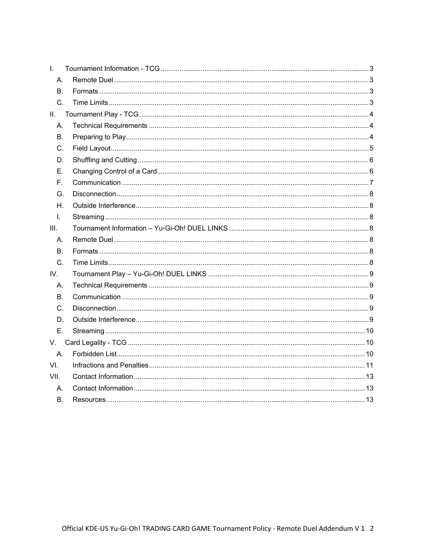| $\mathbf{L}$ |  |
|--------------|--|
| Α.           |  |
| <b>B.</b>    |  |
| C.           |  |
| Ш.           |  |
| А.           |  |
| В.           |  |
| C.           |  |
| D.           |  |
| Е.           |  |
| F.           |  |
| G.           |  |
| Η.           |  |
| $\mathbf{L}$ |  |
| III.         |  |
| А.           |  |
| В.           |  |
| C.           |  |
| IV.          |  |
| А.           |  |
| В.           |  |
| C.           |  |
| D.           |  |
| E.           |  |
| V.           |  |
| A.           |  |
| VI.          |  |
| VII.         |  |
| А.           |  |
| В.           |  |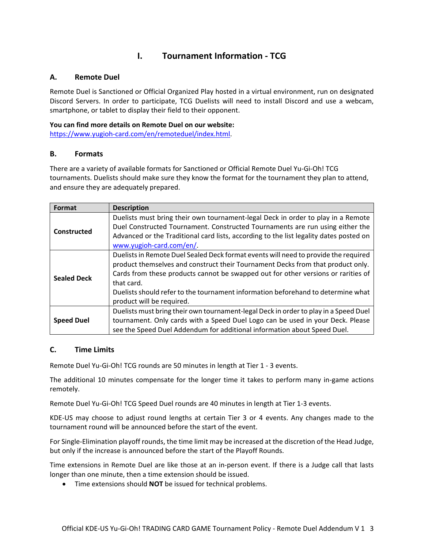#### <span id="page-2-1"></span><span id="page-2-0"></span>**A. Remote Duel**

Remote Duel is Sanctioned or Official Organized Play hosted in a virtual environment, run on designated Discord Servers. In order to participate, TCG Duelists will need to install Discord and use a webcam, smartphone, or tablet to display their field to their opponent.

**You can find more details on Remote Duel on our website:** [https://www.yugioh-card.com/en/remoteduel/index.html.](https://www.yugioh-card.com/en/remoteduel/index.html)

#### <span id="page-2-2"></span>**B. Formats**

There are a variety of available formats for Sanctioned or Official Remote Duel Yu-Gi-Oh! TCG tournaments. Duelists should make sure they know the format for the tournament they plan to attend, and ensure they are adequately prepared.

| Format             | <b>Description</b>                                                                                                                                                                                                                                                                                                                                                                         |  |
|--------------------|--------------------------------------------------------------------------------------------------------------------------------------------------------------------------------------------------------------------------------------------------------------------------------------------------------------------------------------------------------------------------------------------|--|
| Constructed        | Duelists must bring their own tournament-legal Deck in order to play in a Remote<br>Duel Constructed Tournament. Constructed Tournaments are run using either the<br>Advanced or the Traditional card lists, according to the list legality dates posted on<br>www.yugioh-card.com/en/                                                                                                     |  |
| <b>Sealed Deck</b> | Duelists in Remote Duel Sealed Deck format events will need to provide the required<br>product themselves and construct their Tournament Decks from that product only.<br>Cards from these products cannot be swapped out for other versions or rarities of<br>that card.<br>Duelists should refer to the tournament information beforehand to determine what<br>product will be required. |  |
| <b>Speed Duel</b>  | Duelists must bring their own tournament-legal Deck in order to play in a Speed Duel<br>tournament. Only cards with a Speed Duel Logo can be used in your Deck. Please<br>see the Speed Duel Addendum for additional information about Speed Duel.                                                                                                                                         |  |

## <span id="page-2-3"></span>**C. Time Limits**

Remote Duel Yu-Gi-Oh! TCG rounds are 50 minutes in length at Tier 1 - 3 events.

The additional 10 minutes compensate for the longer time it takes to perform many in-game actions remotely.

Remote Duel Yu-Gi-Oh! TCG Speed Duel rounds are 40 minutes in length at Tier 1-3 events.

KDE-US may choose to adjust round lengths at certain Tier 3 or 4 events. Any changes made to the tournament round will be announced before the start of the event.

For Single-Elimination playoff rounds, the time limit may be increased at the discretion of the Head Judge, but only if the increase is announced before the start of the Playoff Rounds.

Time extensions in Remote Duel are like those at an in-person event. If there is a Judge call that lasts longer than one minute, then a time extension should be issued.

• Time extensions should **NOT** be issued for technical problems.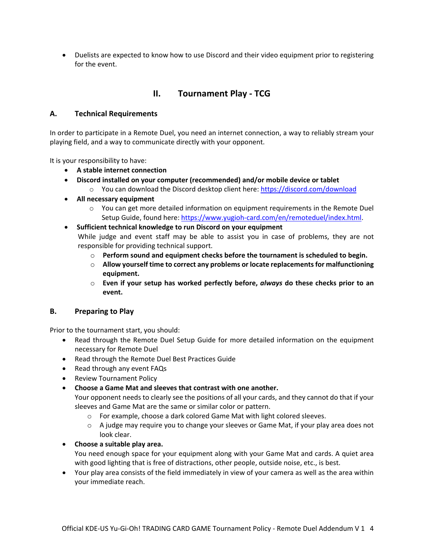• Duelists are expected to know how to use Discord and their video equipment prior to registering for the event.

## **II. Tournament Play - TCG**

#### <span id="page-3-1"></span><span id="page-3-0"></span>**A. Technical Requirements**

In order to participate in a Remote Duel, you need an internet connection, a way to reliably stream your playing field, and a way to communicate directly with your opponent.

It is your responsibility to have:

- **A stable internet connection**
- **Discord installed on your computer (recommended) and/or mobile device or tablet**
	- o You can download the Discord desktop client here[: https://discord.com/download](https://discord.com/download)
- **All necessary equipment**
	- $\circ$  You can get more detailed information on equipment requirements in the Remote Duel Setup Guide, found here: [https://www.yugioh-card.com/en/remoteduel/index.html.](https://www.yugioh-card.com/en/remoteduel/index.html)
- **Sufficient technical knowledge to run Discord on your equipment** While judge and event staff may be able to assist you in case of problems, they are not responsible for providing technical support.
	- o **Perform sound and equipment checks before the tournament is scheduled to begin.**
	- o **Allow yourself time to correct any problems or locate replacements for malfunctioning equipment.**
	- o **Even if your setup has worked perfectly before,** *always* **do these checks prior to an event.**

#### <span id="page-3-2"></span>**B. Preparing to Play**

Prior to the tournament start, you should:

- Read through the Remote Duel Setup Guide for more detailed information on the equipment necessary for Remote Duel
- Read through the Remote Duel Best Practices Guide
- Read through any event FAQs
- Review Tournament Policy
- **Choose a Game Mat and sleeves that contrast with one another.**

Your opponent needs to clearly see the positions of all your cards, and they cannot do that if your sleeves and Game Mat are the same or similar color or pattern.

- o For example, choose a dark colored Game Mat with light colored sleeves.
- $\circ$  A judge may require you to change your sleeves or Game Mat, if your play area does not look clear.
- **Choose a suitable play area.**

You need enough space for your equipment along with your Game Mat and cards. A quiet area with good lighting that is free of distractions, other people, outside noise, etc., is best.

• Your play area consists of the field immediately in view of your camera as well as the area within your immediate reach.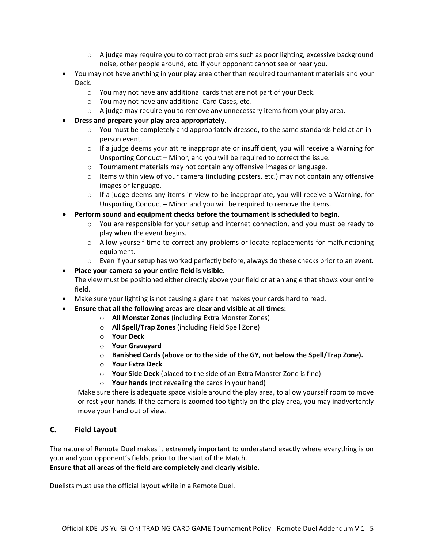- $\circ$  A judge may require you to correct problems such as poor lighting, excessive background noise, other people around, etc. if your opponent cannot see or hear you.
- You may not have anything in your play area other than required tournament materials and your Deck.
	- o You may not have any additional cards that are not part of your Deck.
	- o You may not have any additional Card Cases, etc.
	- o A judge may require you to remove any unnecessary items from your play area.
- **Dress and prepare your play area appropriately.**
	- $\circ$  You must be completely and appropriately dressed, to the same standards held at an inperson event.
	- o If a judge deems your attire inappropriate or insufficient, you will receive a Warning for Unsporting Conduct – Minor, and you will be required to correct the issue.
	- o Tournament materials may not contain any offensive images or language.
	- $\circ$  Items within view of your camera (including posters, etc.) may not contain any offensive images or language.
	- $\circ$  If a judge deems any items in view to be inappropriate, you will receive a Warning, for Unsporting Conduct – Minor and you will be required to remove the items.
- **Perform sound and equipment checks before the tournament is scheduled to begin.**
	- o You are responsible for your setup and internet connection, and you must be ready to play when the event begins.
	- $\circ$  Allow yourself time to correct any problems or locate replacements for malfunctioning equipment.
	- o Even if your setup has worked perfectly before, always do these checks prior to an event.

#### • **Place your camera so your entire field is visible.**

The view must be positioned either directly above your field or at an angle that shows your entire field.

- Make sure your lighting is not causing a glare that makes your cards hard to read.
- **Ensure that all the following areas are clear and visible at all times:**
	- o **All Monster Zones** (including Extra Monster Zones)
	- o **All Spell/Trap Zones** (including Field Spell Zone)
	- o **Your Deck**
	- o **Your Graveyard**
	- o **Banished Cards (above or to the side of the GY, not below the Spell/Trap Zone).**
	- o **Your Extra Deck**
	- o **Your Side Deck** (placed to the side of an Extra Monster Zone is fine)
	- o **Your hands** (not revealing the cards in your hand)

Make sure there is adequate space visible around the play area, to allow yourself room to move or rest your hands. If the camera is zoomed too tightly on the play area, you may inadvertently move your hand out of view.

## <span id="page-4-0"></span>**C. Field Layout**

The nature of Remote Duel makes it extremely important to understand exactly where everything is on your and your opponent's fields, prior to the start of the Match.

**Ensure that all areas of the field are completely and clearly visible.**

Duelists must use the official layout while in a Remote Duel.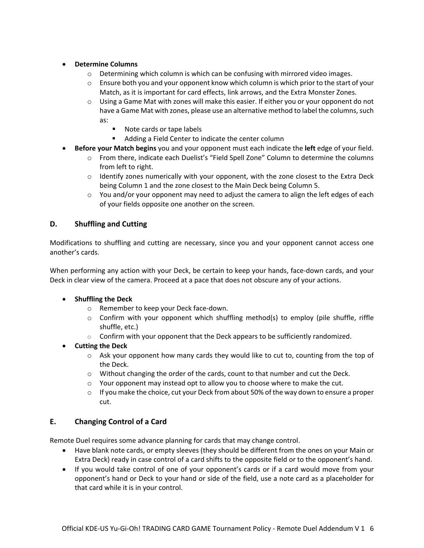#### • **Determine Columns**

- $\circ$  Determining which column is which can be confusing with mirrored video images.
- $\circ$  Ensure both you and your opponent know which column is which prior to the start of your Match, as it is important for card effects, link arrows, and the Extra Monster Zones.
- $\circ$  Using a Game Mat with zones will make this easier. If either you or your opponent do not have a Game Mat with zones, please use an alternative method to label the columns, such as:
	- Note cards or tape labels
	- **Adding a Field Center to indicate the center column**
- **Before your Match begins** you and your opponent must each indicate the **left** edge of your field.
	- o From there, indicate each Duelist's "Field Spell Zone" Column to determine the columns from left to right.
	- $\circ$  Identify zones numerically with your opponent, with the zone closest to the Extra Deck being Column 1 and the zone closest to the Main Deck being Column 5.
	- $\circ$  You and/or your opponent may need to adjust the camera to align the left edges of each of your fields opposite one another on the screen.

## <span id="page-5-0"></span>**D. Shuffling and Cutting**

Modifications to shuffling and cutting are necessary, since you and your opponent cannot access one another's cards.

When performing any action with your Deck, be certain to keep your hands, face-down cards, and your Deck in clear view of the camera. Proceed at a pace that does not obscure any of your actions.

#### • **Shuffling the Deck**

- o Remember to keep your Deck face-down.
- $\circ$  Confirm with your opponent which shuffling method(s) to employ (pile shuffle, riffle shuffle, etc.)
- $\circ$  Confirm with your opponent that the Deck appears to be sufficiently randomized.
- **Cutting the Deck**
	- $\circ$  Ask your opponent how many cards they would like to cut to, counting from the top of the Deck.
	- $\circ$  Without changing the order of the cards, count to that number and cut the Deck.
	- $\circ$  Your opponent may instead opt to allow you to choose where to make the cut.
	- $\circ$  If you make the choice, cut your Deck from about 50% of the way down to ensure a proper cut.

## <span id="page-5-1"></span>**E. Changing Control of a Card**

Remote Duel requires some advance planning for cards that may change control.

- Have blank note cards, or empty sleeves (they should be different from the ones on your Main or Extra Deck) ready in case control of a card shifts to the opposite field or to the opponent's hand.
- If you would take control of one of your opponent's cards or if a card would move from your opponent's hand or Deck to your hand or side of the field, use a note card as a placeholder for that card while it is in your control.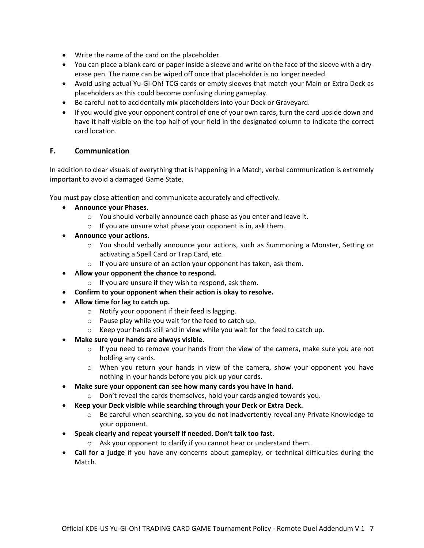- Write the name of the card on the placeholder.
- You can place a blank card or paper inside a sleeve and write on the face of the sleeve with a dryerase pen. The name can be wiped off once that placeholder is no longer needed.
- Avoid using actual Yu-Gi-Oh! TCG cards or empty sleeves that match your Main or Extra Deck as placeholders as this could become confusing during gameplay.
- Be careful not to accidentally mix placeholders into your Deck or Graveyard.
- If you would give your opponent control of one of your own cards, turn the card upside down and have it half visible on the top half of your field in the designated column to indicate the correct card location.

#### <span id="page-6-0"></span>**F. Communication**

In addition to clear visuals of everything that is happening in a Match, verbal communication is extremely important to avoid a damaged Game State.

You must pay close attention and communicate accurately and effectively.

- **Announce your Phases**.
	- o You should verbally announce each phase as you enter and leave it.
	- $\circ$  If you are unsure what phase your opponent is in, ask them.
- **Announce your actions**.
	- o You should verbally announce your actions, such as Summoning a Monster, Setting or activating a Spell Card or Trap Card, etc.
	- o If you are unsure of an action your opponent has taken, ask them.
- **Allow your opponent the chance to respond.**
	- $\circ$  If you are unsure if they wish to respond, ask them.
- **Confirm to your opponent when their action is okay to resolve.**
- **Allow time for lag to catch up.** 
	- o Notify your opponent if their feed is lagging.
	- o Pause play while you wait for the feed to catch up.
	- o Keep your hands still and in view while you wait for the feed to catch up.
- **Make sure your hands are always visible.**
	- $\circ$  If you need to remove your hands from the view of the camera, make sure you are not holding any cards.
	- o When you return your hands in view of the camera, show your opponent you have nothing in your hands before you pick up your cards.
- **Make sure your opponent can see how many cards you have in hand.**
	- o Don't reveal the cards themselves, hold your cards angled towards you.
- **Keep your Deck visible while searching through your Deck or Extra Deck.**
	- o Be careful when searching, so you do not inadvertently reveal any Private Knowledge to your opponent.
- **Speak clearly and repeat yourself if needed. Don't talk too fast.**
	- o Ask your opponent to clarify if you cannot hear or understand them.
- **Call for a judge** if you have any concerns about gameplay, or technical difficulties during the Match.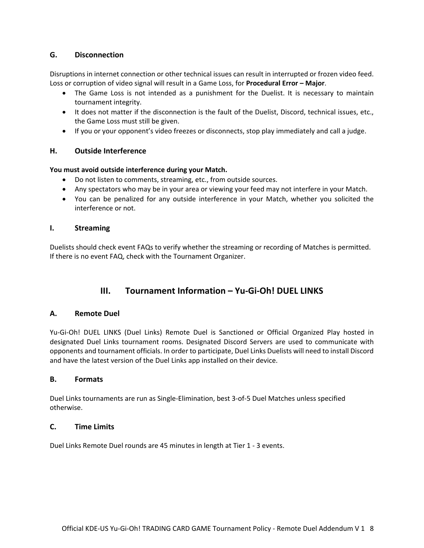## <span id="page-7-0"></span>**G. Disconnection**

Disruptions in internet connection or other technical issues can result in interrupted or frozen video feed. Loss or corruption of video signal will result in a Game Loss, for **Procedural Error – Major**.

- The Game Loss is not intended as a punishment for the Duelist. It is necessary to maintain tournament integrity.
- It does not matter if the disconnection is the fault of the Duelist, Discord, technical issues, etc., the Game Loss must still be given.
- If you or your opponent's video freezes or disconnects, stop play immediately and call a judge.

## <span id="page-7-1"></span>**H. Outside Interference**

#### **You must avoid outside interference during your Match.**

- Do not listen to comments, streaming, etc., from outside sources.
- Any spectators who may be in your area or viewing your feed may not interfere in your Match.
- You can be penalized for any outside interference in your Match, whether you solicited the interference or not.

#### <span id="page-7-2"></span>**I. Streaming**

Duelists should check event FAQs to verify whether the streaming or recording of Matches is permitted. If there is no event FAQ, check with the Tournament Organizer.

## **III. Tournament Information – Yu-Gi-Oh! DUEL LINKS**

## <span id="page-7-4"></span><span id="page-7-3"></span>**A. Remote Duel**

Yu-Gi-Oh! DUEL LINKS (Duel Links) Remote Duel is Sanctioned or Official Organized Play hosted in designated Duel Links tournament rooms. Designated Discord Servers are used to communicate with opponents and tournament officials. In order to participate, Duel Links Duelists will need to install Discord and have the latest version of the Duel Links app installed on their device.

#### <span id="page-7-5"></span>**B. Formats**

Duel Links tournaments are run as Single-Elimination, best 3-of-5 Duel Matches unless specified otherwise.

## <span id="page-7-6"></span>**C. Time Limits**

Duel Links Remote Duel rounds are 45 minutes in length at Tier 1 - 3 events.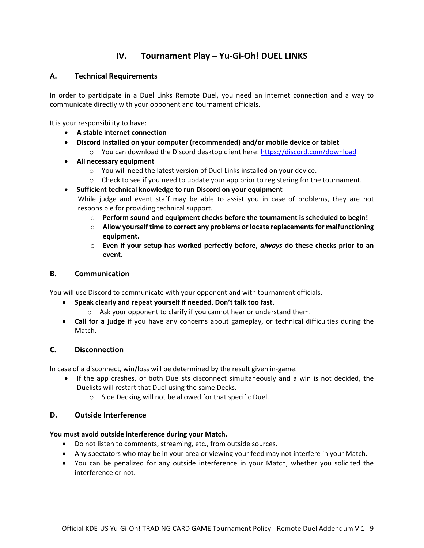# **IV. Tournament Play – Yu-Gi-Oh! DUEL LINKS**

## <span id="page-8-1"></span><span id="page-8-0"></span>**A. Technical Requirements**

In order to participate in a Duel Links Remote Duel, you need an internet connection and a way to communicate directly with your opponent and tournament officials.

It is your responsibility to have:

- **A stable internet connection**
- **Discord installed on your computer (recommended) and/or mobile device or tablet**
	- o You can download the Discord desktop client here[: https://discord.com/download](https://discord.com/download)
- **All necessary equipment**
	- o You will need the latest version of Duel Links installed on your device.
	- $\circ$  Check to see if you need to update your app prior to registering for the tournament.

• **Sufficient technical knowledge to run Discord on your equipment** While judge and event staff may be able to assist you in case of problems, they are not responsible for providing technical support.

- o **Perform sound and equipment checks before the tournament is scheduled to begin!**
- o **Allow yourself time to correct any problems or locate replacements for malfunctioning equipment.**
- o **Even if your setup has worked perfectly before,** *always* **do these checks prior to an event.**

## <span id="page-8-2"></span>**B. Communication**

You will use Discord to communicate with your opponent and with tournament officials.

- **Speak clearly and repeat yourself if needed. Don't talk too fast.**
	- o Ask your opponent to clarify if you cannot hear or understand them.
- **Call for a judge** if you have any concerns about gameplay, or technical difficulties during the Match.

## <span id="page-8-3"></span>**C. Disconnection**

In case of a disconnect, win/loss will be determined by the result given in-game.

- If the app crashes, or both Duelists disconnect simultaneously and a win is not decided, the Duelists will restart that Duel using the same Decks.
	- o Side Decking will not be allowed for that specific Duel.

## <span id="page-8-4"></span>**D. Outside Interference**

## **You must avoid outside interference during your Match.**

- Do not listen to comments, streaming, etc., from outside sources.
- Any spectators who may be in your area or viewing your feed may not interfere in your Match.
- You can be penalized for any outside interference in your Match, whether you solicited the interference or not.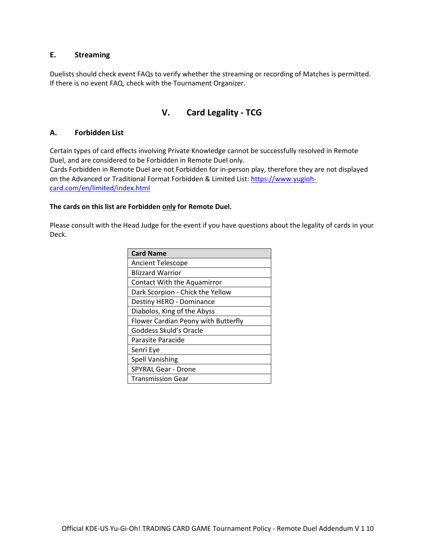#### <span id="page-9-0"></span>**E. Streaming**

Duelists should check event FAQs to verify whether the streaming or recording of Matches is permitted. If there is no event FAQ, check with the Tournament Organizer.

## **V. Card Legality - TCG**

#### <span id="page-9-2"></span><span id="page-9-1"></span>**A. Forbidden List**

Certain types of card effects involving Private Knowledge cannot be successfully resolved in Remote Duel, and are considered to be Forbidden in Remote Duel only.

Cards Forbidden in Remote Duel are not Forbidden for in-person play, therefore they are not displayed on the Advanced or Traditional Format Forbidden & Limited List: [https://www.yugioh](https://www.yugioh-card.com/en/limited/index.html)[card.com/en/limited/index.html](https://www.yugioh-card.com/en/limited/index.html)

#### **The cards on this list are Forbidden only for Remote Duel.**

Please consult with the Head Judge for the event if you have questions about the legality of cards in your Deck.

| <b>Card Name</b>                    |
|-------------------------------------|
| <b>Ancient Telescope</b>            |
| <b>Blizzard Warrior</b>             |
| Contact With the Aquamirror         |
| Dark Scorpion - Chick the Yellow    |
| Destiny HERO - Dominance            |
| Diabolos, King of the Abyss         |
| Flower Cardian Peony with Butterfly |
| Goddess Skuld's Oracle              |
| Parasite Paracide                   |
| Senri Eye                           |
| <b>Spell Vanishing</b>              |
| <b>SPYRAL Gear - Drone</b>          |
| <b>Transmission Gear</b>            |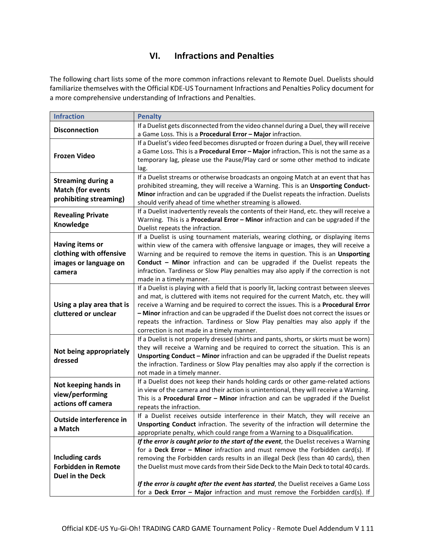# **VI. Infractions and Penalties**

<span id="page-10-0"></span>The following chart lists some of the more common infractions relevant to Remote Duel. Duelists should familiarize themselves with the Official KDE-US Tournament Infractions and Penalties Policy document for a more comprehensive understanding of Infractions and Penalties.

| <b>Infraction</b>                     | <b>Penalty</b>                                                                                                                                                          |
|---------------------------------------|-------------------------------------------------------------------------------------------------------------------------------------------------------------------------|
| <b>Disconnection</b>                  | If a Duelist gets disconnected from the video channel during a Duel, they will receive                                                                                  |
|                                       | a Game Loss. This is a Procedural Error - Major infraction.                                                                                                             |
| <b>Frozen Video</b>                   | If a Duelist's video feed becomes disrupted or frozen during a Duel, they will receive                                                                                  |
|                                       | a Game Loss. This is a Procedural Error - Major infraction. This is not the same as a                                                                                   |
|                                       | temporary lag, please use the Pause/Play card or some other method to indicate                                                                                          |
|                                       | lag.                                                                                                                                                                    |
| <b>Streaming during a</b>             | If a Duelist streams or otherwise broadcasts an ongoing Match at an event that has                                                                                      |
| <b>Match (for events</b>              | prohibited streaming, they will receive a Warning. This is an Unsporting Conduct-                                                                                       |
| prohibiting streaming)                | Minor infraction and can be upgraded if the Duelist repeats the infraction. Duelists                                                                                    |
|                                       | should verify ahead of time whether streaming is allowed.                                                                                                               |
| <b>Revealing Private</b><br>Knowledge | If a Duelist inadvertently reveals the contents of their Hand, etc. they will receive a                                                                                 |
|                                       | Warning. This is a Procedural Error - Minor infraction and can be upgraded if the                                                                                       |
|                                       | Duelist repeats the infraction.                                                                                                                                         |
| Having items or                       | If a Duelist is using tournament materials, wearing clothing, or displaying items                                                                                       |
| clothing with offensive               | within view of the camera with offensive language or images, they will receive a<br>Warning and be required to remove the items in question. This is an Unsporting      |
| images or language on                 | Conduct - Minor infraction and can be upgraded if the Duelist repeats the                                                                                               |
|                                       | infraction. Tardiness or Slow Play penalties may also apply if the correction is not                                                                                    |
| camera                                | made in a timely manner.                                                                                                                                                |
|                                       | If a Duelist is playing with a field that is poorly lit, lacking contrast between sleeves                                                                               |
|                                       | and mat, is cluttered with items not required for the current Match, etc. they will                                                                                     |
| Using a play area that is             | receive a Warning and be required to correct the issues. This is a Procedural Error                                                                                     |
| cluttered or unclear                  | - Minor infraction and can be upgraded if the Duelist does not correct the issues or                                                                                    |
|                                       | repeats the infraction. Tardiness or Slow Play penalties may also apply if the                                                                                          |
|                                       | correction is not made in a timely manner.                                                                                                                              |
|                                       | If a Duelist is not properly dressed (shirts and pants, shorts, or skirts must be worn)                                                                                 |
| Not being appropriately               | they will receive a Warning and be required to correct the situation. This is an                                                                                        |
| dressed                               | Unsporting Conduct - Minor infraction and can be upgraded if the Duelist repeats                                                                                        |
|                                       | the infraction. Tardiness or Slow Play penalties may also apply if the correction is                                                                                    |
|                                       | not made in a timely manner.                                                                                                                                            |
| Not keeping hands in                  | If a Duelist does not keep their hands holding cards or other game-related actions                                                                                      |
| view/performing                       | in view of the camera and their action is unintentional, they will receive a Warning.                                                                                   |
| actions off camera                    | This is a Procedural Error - Minor infraction and can be upgraded if the Duelist                                                                                        |
|                                       | repeats the infraction.                                                                                                                                                 |
| Outside interference in               | If a Duelist receives outside interference in their Match, they will receive an                                                                                         |
| a Match                               | Unsporting Conduct infraction. The severity of the infraction will determine the                                                                                        |
|                                       | appropriate penalty, which could range from a Warning to a Disqualification.                                                                                            |
|                                       | If the error is caught prior to the start of the event, the Duelist receives a Warning<br>for a Deck Error - Minor infraction and must remove the Forbidden card(s). If |
| Including cards                       | removing the Forbidden cards results in an illegal Deck (less than 40 cards), then                                                                                      |
| <b>Forbidden in Remote</b>            | the Duelist must move cards from their Side Deck to the Main Deck to total 40 cards.                                                                                    |
| <b>Duel in the Deck</b>               |                                                                                                                                                                         |
|                                       | If the error is caught after the event has started, the Duelist receives a Game Loss                                                                                    |
|                                       | for a Deck Error - Major infraction and must remove the Forbidden card(s). If                                                                                           |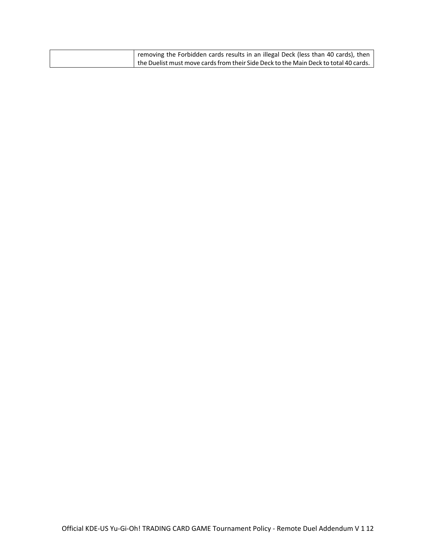| removing the Forbidden cards results in an illegal Deck (less than 40 cards), then                 |
|----------------------------------------------------------------------------------------------------|
| $\mid$ the Duelist must move cards from their Side Deck to the Main Deck to total 40 cards. $\mid$ |